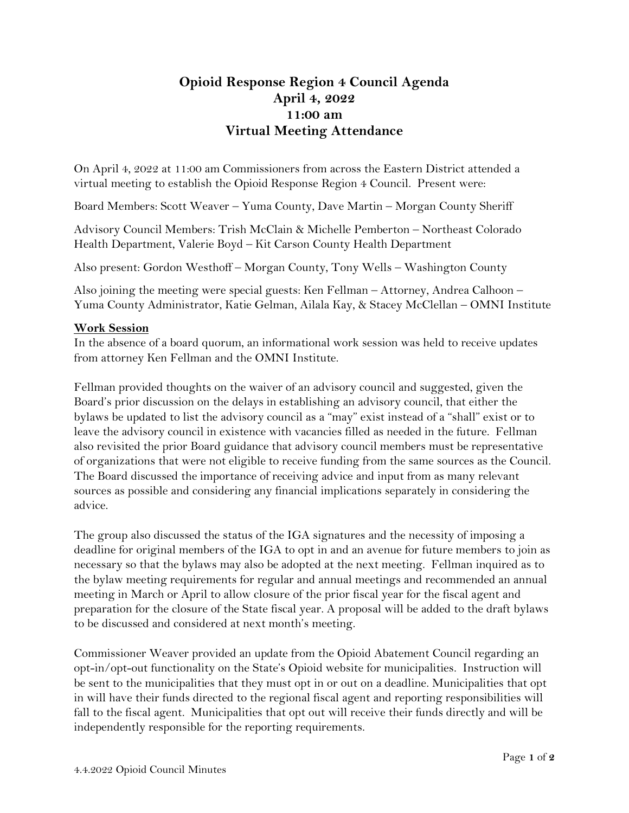## **Opioid Response Region 4 Council Agenda April 4, 2022 11:00 am Virtual Meeting Attendance**

On April 4, 2022 at 11:00 am Commissioners from across the Eastern District attended a virtual meeting to establish the Opioid Response Region 4 Council. Present were:

Board Members: Scott Weaver – Yuma County, Dave Martin – Morgan County Sheriff

Advisory Council Members: Trish McClain & Michelle Pemberton – Northeast Colorado Health Department, Valerie Boyd – Kit Carson County Health Department

Also present: Gordon Westhoff – Morgan County, Tony Wells – Washington County

Also joining the meeting were special guests: Ken Fellman – Attorney, Andrea Calhoon – Yuma County Administrator, Katie Gelman, Ailala Kay, & Stacey McClellan – OMNI Institute

## **Work Session**

In the absence of a board quorum, an informational work session was held to receive updates from attorney Ken Fellman and the OMNI Institute.

Fellman provided thoughts on the waiver of an advisory council and suggested, given the Board's prior discussion on the delays in establishing an advisory council, that either the bylaws be updated to list the advisory council as a "may" exist instead of a "shall" exist or to leave the advisory council in existence with vacancies filled as needed in the future. Fellman also revisited the prior Board guidance that advisory council members must be representative of organizations that were not eligible to receive funding from the same sources as the Council. The Board discussed the importance of receiving advice and input from as many relevant sources as possible and considering any financial implications separately in considering the advice.

The group also discussed the status of the IGA signatures and the necessity of imposing a deadline for original members of the IGA to opt in and an avenue for future members to join as necessary so that the bylaws may also be adopted at the next meeting. Fellman inquired as to the bylaw meeting requirements for regular and annual meetings and recommended an annual meeting in March or April to allow closure of the prior fiscal year for the fiscal agent and preparation for the closure of the State fiscal year. A proposal will be added to the draft bylaws to be discussed and considered at next month's meeting.

Commissioner Weaver provided an update from the Opioid Abatement Council regarding an opt-in/opt-out functionality on the State's Opioid website for municipalities. Instruction will be sent to the municipalities that they must opt in or out on a deadline. Municipalities that opt in will have their funds directed to the regional fiscal agent and reporting responsibilities will fall to the fiscal agent. Municipalities that opt out will receive their funds directly and will be independently responsible for the reporting requirements.